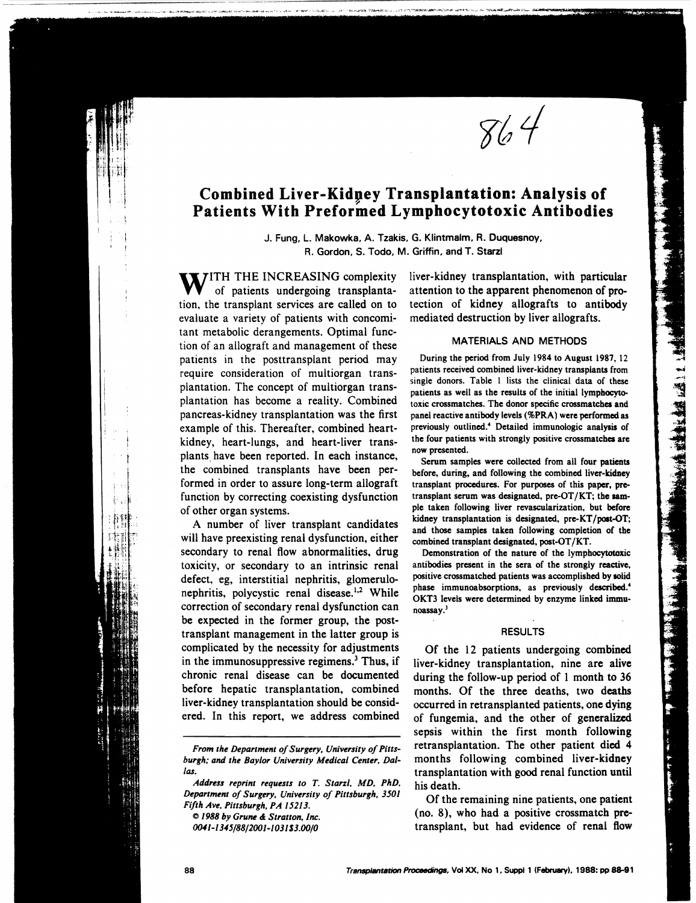$864$ 

# **Combined Liver-Kidney Transplantation: Analysis of Patients With Preformed Lymphocytotoxic Antibodies**

"'-----"---

J. Fung, L. Makowka, A. Tzakis, G. Klintmalm, R. Duquesnoy, R. Gordon, S. Todo, M. Griffin, and T. Starzl

**WITH THE INCREASING complexity** of patients undergoing transplantation, the transplant services are called on to evaluate a variety of patients with concomitant metabolic derangements. Optimal function of an allograft and management of these patients in the posttransplant period may require consideration of multiorgan transplantation. The concept of multiorgan transplantation has become a reality. Combined pancreas-kidney transplantation was the first example of this. Thereafter, combined heartkidney, heart-lungs, and heart-liver transplants have been reported. In each instance, the combined transplants have been performed in order to assure long-term allograft function by correcting coexisting dysfunction of other organ systems.

A number of liver transplant candidates will have preexisting renal dysfunction, either secondary to renal flow abnormalities, drug toxicity, or secondary to an intrinsic renal defect. eg, interstitial nephritis, glomerulonephritis, polycystic renal disease.<sup>1,2</sup> While correction of secondary renal dysfunction can be expected in the former group, the posttransplant management in the latter group is complicated by the necessity for adjustments in the immunosuppressive regimens.<sup>3</sup> Thus, if chronic renal disease can be documented before hepatic transplantation, combined liver-kidney transplantation should be considered. In this report, we address combined

*Address reprint requests to* T. *Starzl. MD. PhD. Department of Surgery. University of Pittsburgh.* 3501 *Fifth Ave. Pittsburgh, PA* 15213.

 $\odot$  1988 by Grune & Stratton, Inc.

()(U1-1345/88/2ool-1031\$3.oo/0

liver-kidney transplantation, with particular attention to the apparent phenomenon of protection of kidney allografts to antibody mediated destruction by liver allografts.

### MATERIALS AND METHODS

During the period from July 1984 to August 1987, 12 patients received combined liver-kidney transplants from single donors. Table I lists the clinical data of these patients as well as the results of the initial lymphocytotoxic crossmatches. The donor specific crossmatches and panel reactive antibody levels (%PRA) were performed as previously outlined.4 Detailed immunologic analysis of the four patients with strongly positive crossmatches are now presented.

Serum samples were collected from all four patients before, during, and following the combined liver-kidney transplant procedures. For purposes of this paper, pretransplant serum was designated, pre- $OT/KT$ ; the sampie taken following liver revascularization, but before kidney transplantation is designated, pre-KT/post-OT; and those samples taken following completion of the combined transplant designated, post-OT /KT.

Demonstration of the nature of the Iymphocytotoxic antibodies present in the sera of the strongly reactive, positive crossmatched patients was accomplished by solid phase immunoabsorptions, as previously described.' OKT3 levels were determined by enzyme linked immunoassay.)

#### RESULTS

Of the 12 patients undergoing combined liver-kidney transplantation, nine are alive during the follow-up period of 1 month to 36 months. Of the three deaths, two deaths occurred in retransplanted patients, one dying of fungemia, and the other of generalized sepsis within the first month following retransplantation. The other patient died 4 months following combined liver-kidney transplantation with good renal function until his death.

Of the remaining nine patients, one patient (no. 8), who had a positive crossmatch pretransplant, but had evidence of renal flow

*From the Department of Surgery, University of Pittsburgh; and the Baylor University Medical Center, Dallas.*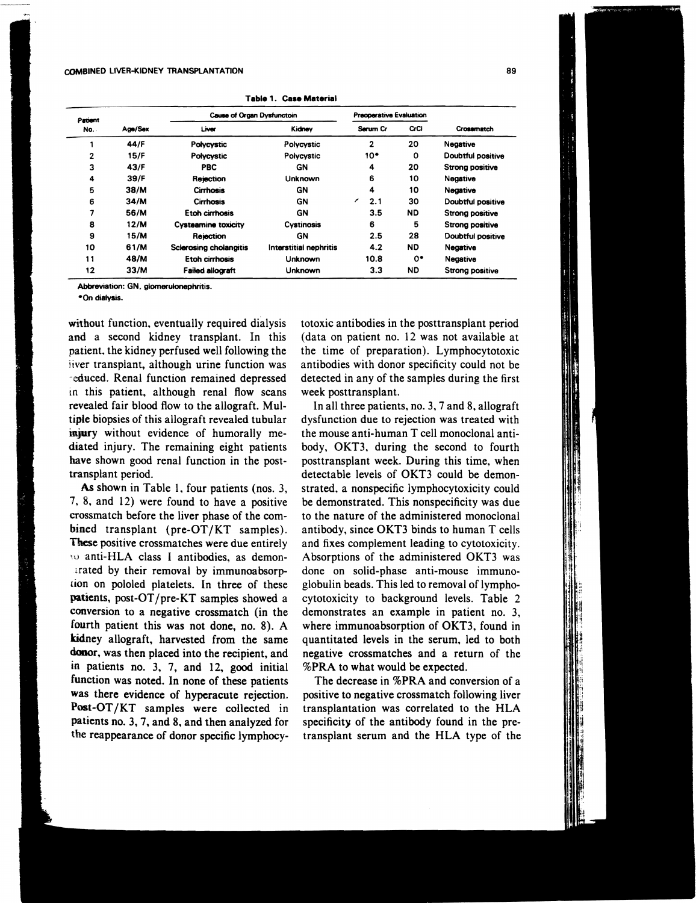#### COMBINED LlVER-KIDNEY TRANSPLANTATION 89

| Patient<br>No. . | Age/Sex | <b>Cause of Organ Dysfunctoin</b> |                        | Preoperative Evaluation |         |                        |
|------------------|---------|-----------------------------------|------------------------|-------------------------|---------|------------------------|
|                  |         | Liver                             | Kidney                 | Serum Cr                |         | Crossmatch             |
|                  | 44/F    | Polycystic                        | Polycystic             | $\overline{2}$          | 20      | Negative               |
| 2                | 15/F    | Polycystic                        | Polycystic             | $10^{\circ}$            | $\circ$ | Doubtful positive      |
| 3                | 43/F    | PBC.                              | GΝ                     | 4                       | 20      | <b>Strong positive</b> |
| 4                | 39/F    | Rejection                         | Unknown                | 6                       | 10      | Negative               |
| 5                | 38/M    | <b>Cirrhosis</b>                  | GN                     | 4                       | 10      | Negative               |
| 6                | 34/M    | Cirrhosis                         | GN                     | ╭<br>2.1                | 30      | Doubtful positive      |
| 7                | 56/M    | Etoh cirrhosis                    | GN                     | 3.5                     | ND.     | <b>Strong positive</b> |
| 8                | 12/M    | <b>Cysteamine toxicity</b>        | Cystinosis             | 6                       | 5       | Strong positive        |
| 9                | 15/M    | Rejection                         | GN                     | 2.5                     | 28      | Doubtful positive      |
| 10               | 61/M    | <b>Scierosing cholangitis</b>     | Interstitial nephritis | 4.2                     | ND      | Negative               |
| 11               | 48/M    | Etoh cirrhosis                    | Unknown                | 10.8                    | 0.      | Negative               |
| 12               | 33/M    | <b>Failed allograft</b>           | Unknown                | 3.3                     | ND      | <b>Strong positive</b> |

**Table 1. ease Materiel** 

Abbreviation: GN. glomerulonephritis.

\*On dialysis.

witbout function, eventually required dialysis and a second kidney transplant. In this patient, the kidney perfused well following the iiver transplant, although urine function was . educed. Renal function remained depressed in this patient, although renal flow scans revealed fair blood flow to the allograft. Multiple biopsies of this allograft revealed tubular injury without evidence of humorally mediated injury. The remaining eight patients have shown good renal function in the posttransplant period.

As shown in Table 1, four patients (nos. 3, 1, 8, and 12) were found to have a positive crossmatch before the liver phase of the combined transplant (pre-OT/KT samples). These positive crossmatches were due entirely wanti-HLA class I antibodies, as demontrated by their removal by immunoabsorp- [ion on pololed platelets. In three of these patients, post-OT/pre-KT samples showed a conversion to a negative crossmatch (in the fourth patient this was not done, no. 8). A kidney allograft, harvested from the same donor, was then placed into the recipient, and in patients no. 3, 7, and 12, good initial function was noted. In none of these patients was there evidence of hyperacute rejection. Post-OT /KT samples were collected in patients no. 3, 7, and 8, and then analyzed for the reappearance of donor specific lymphocy·

totoxic antibodies in the posttransplant period (data on patient no. 12 was not available at the time of preparation). Lymphocytotoxic antibodies with donor specificity could not be detected in any of the samples during the first week posttransplant.

In all three patients, no. 3, 7 and 8, allograft dysfunction due to rejection was treated with the mouse anti-human T cell monoclonal antibody, OKT3, during the second to fourth posttransplant week. During this time, when detectable levels of OKT3 could be demonstrated, a nonspecific lymphocytoxicity could be demonstrated. This nonspecificity was due to the nature of the administered monoclonal antibody, since OKT3 binds to human T cells and fixes complement leading to cytotoxicity. Absorptions of the administered OKT3 was done on solid-phase anti-mouse immunoglobulin beads. This led to removal of lymphocytotoxicity to background levels. Table 2 demonstrates an example in patient no. 3, where immunoabsorption of OKT3, found in quantitated levels in the serum, led to both negative crossmatches and a return of the %PRA to what would be expected.

The decrease in %PRA and conversion of a positive to negative crossmatch following liver transplantation was correlated to the HLA specificity of the antibody found in the pretransplant serum and the HLA type of the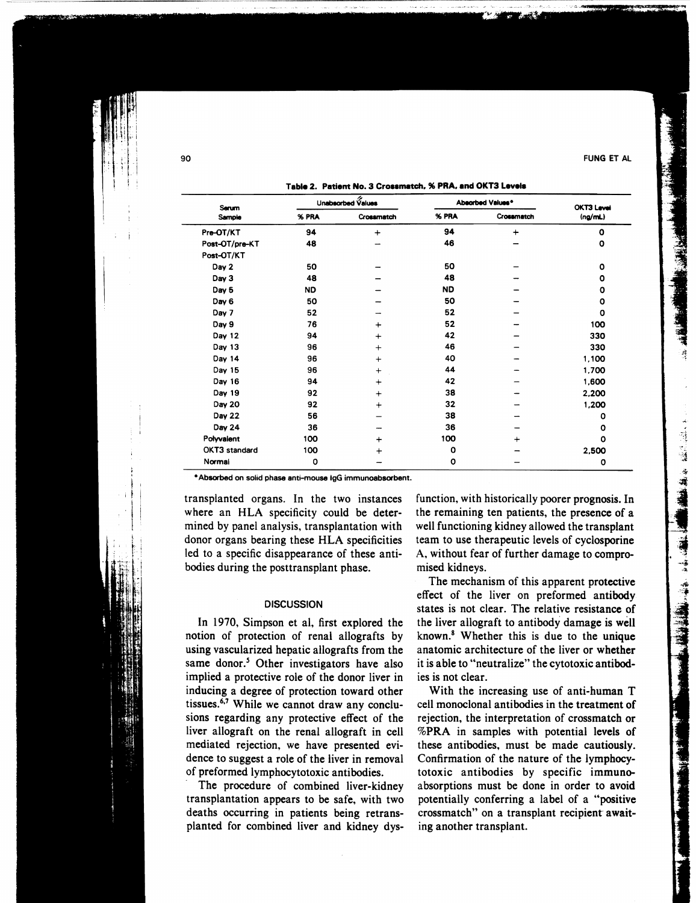$\frac{1}{2}$ l l

# Table 2. Patient No. 3 Crossmatch, % PRA, and OKT3 Levels

| Serum          | Unabsorbed Values |            | Absorbed Values* |            | <b>OKT3 Level</b> |
|----------------|-------------------|------------|------------------|------------|-------------------|
| Sample         | % PRA             | Crossmatch | % PRA            | Crossmatch | (nq/ml)           |
| Pre-OT/KT      | 94                | $+$        | 94               | $\ddot{}$  | $\mathbf o$       |
| Post-OT/pre-KT | 48                |            | 46               |            | O                 |
| Post-OT/KT     |                   |            |                  |            |                   |
| Day 2          | 50                |            | 50               |            | $\mathbf{o}$      |
| Day 3          | 48                |            | 48               |            | O                 |
| Day 5          | ND                |            | <b>ND</b>        |            | O                 |
| Day 6          | 50                |            | 50               |            | O                 |
| Day 7          | 52                |            | 52               |            | O                 |
| Day 9          | 76                | $\ddot{}$  | 52               |            | 100               |
| Day 12         | 94                | $\ddot{}$  | 42               |            | 330               |
| Day 13         | 96                | $+$        | 46               |            | 330               |
| Day 14         | 96                | $^{+}$     | 40               |            | 1,100             |
| Day 15         | 96                | $+$        | 44               |            | 1,700             |
| Day 16         | 94                | $+$        | 42               |            | 1,600             |
| Day 19         | 92                | $+$        | 38               |            | 2,200             |
| Day 20         | 92                | $+$        | 32               |            | 1,200             |
| Day 22         | 56                |            | 38               |            | O                 |
| Day 24         | 36                |            | 36               |            | ٥                 |
| Polyvalent     | 100               | $+$        | 100              | +          | 0                 |
| OKT3 standard  | 100               | $\div$     | O                |            | 2,500             |
| Normal         | 0                 |            | O                |            | O                 |

\* Absorbed on solid phase anti-mouse IgG immunoabsorbent.

transplanted organs. In the two instances where an HLA specificity could be determined by panel analysis, transplantation with donor organs bearing these HLA specificities led to a specific disappearance of these antibodies during the posttransplant phase.

# **DISCUSSION**

In 1970, Simpson et ai, first explored the notion of protection of renal allografts by using vascularized hepatic allografts from the same donor.<sup>5</sup> Other investigators have also implied a protective role of the donor liver in inducing a degree of protection toward other tissues.6,7 While we cannot draw any conclusions regarding any protective effect of the liver allograft on the renal allograft in cell mediated rejection, we have presented evidence to suggest a role of the liver in removal of preformed lymphocytotoxic antibodies.

The procedure of combined liver-kidney transplantation appears to be safe, with two deaths occurring in patients being retransplanted for combined liver and kidney dys-

function, with historically poorer prognosis. In the remaining ten patients, the presence of a well functioning kidney allowed the transplant team to use therapeutic levels of cyclosporine A, without fear of further damage to compromised kidneys.

The mechanism of this apparent protective effect of the liver on preformed antibody states is not clear. The relative resistance of the liver allograft to antibody damage is well known.<sup>8</sup> Whether this is due to the unique anatomic architecture of the liver or whether it is able to "neutralize" the cytotoxic antibodies is not clear.

With the increasing use of anti-human T cell monoclonal antibodies in the treatment of rejection, the interpretation of crossmatch or %PRA in samples with potential levels of these antibodies, must be made cautiously. Confirmation of the nature of the Iymphocytotoxic antibodies by specific immuneabsorptions must be done in order to avoid potentially conferring a label of a "positive crossmatch" on a transplant recipient awaiting another transplant.

○ 長 三 遠 海道